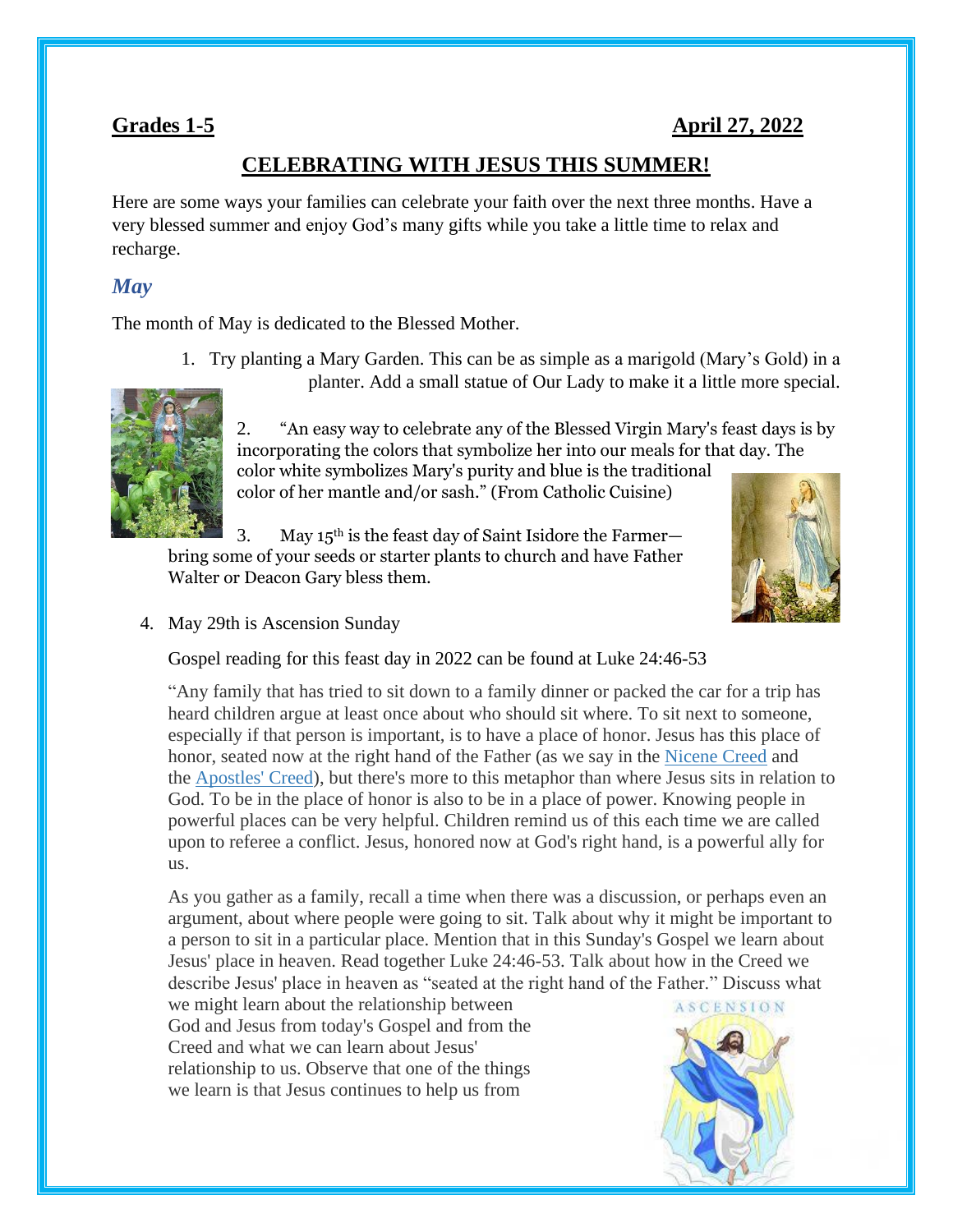### **Grades 1-5 April 27, 2022**

### **CELEBRATING WITH JESUS THIS SUMMER!**

Here are some ways your families can celebrate your faith over the next three months. Have a very blessed summer and enjoy God's many gifts while you take a little time to relax and recharge.

#### *May*

The month of May is dedicated to the Blessed Mother.

1. Try planting a Mary Garden. This can be as simple as a marigold (Mary's Gold) in a



planter. Add a small statue of Our Lady to make it a little more special.

2. "An easy way to celebrate any of the Blessed Virgin Mary's feast days is by incorporating the colors that symbolize her into our meals for that day. The color white symbolizes Mary's purity and blue is the traditional color of her mantle and/or sash." (From Catholic Cuisine)

3. May  $15<sup>th</sup>$  is the feast day of Saint Isidore the Farmerbring some of your seeds or starter plants to church and have Father Walter or Deacon Gary bless them.



4. May 29th is Ascension Sunday

Gospel reading for this feast day in 2022 can be found at Luke 24:46-53

"Any family that has tried to sit down to a family dinner or packed the car for a trip has heard children argue at least once about who should sit where. To sit next to someone, especially if that person is important, is to have a place of honor. Jesus has this place of honor, seated now at the right hand of the Father (as we say in the [Nicene Creed](https://www.loyolapress.com/catholic-resources/prayer/traditional-catholic-prayers/prayers-every-catholic-should-know/nicene-creed#entry:5487/) and the [Apostles' Creed\)](https://www.loyolapress.com/catholic-resources/prayer/traditional-catholic-prayers/prayers-every-catholic-should-know/apostles-creed), but there's more to this metaphor than where Jesus sits in relation to God. To be in the place of honor is also to be in a place of power. Knowing people in powerful places can be very helpful. Children remind us of this each time we are called upon to referee a conflict. Jesus, honored now at God's right hand, is a powerful ally for us.

As you gather as a family, recall a time when there was a discussion, or perhaps even an argument, about where people were going to sit. Talk about why it might be important to a person to sit in a particular place. Mention that in this Sunday's Gospel we learn about Jesus' place in heaven. Read together Luke 24:46-53. Talk about how in the Creed we describe Jesus' place in heaven as "seated at the right hand of the Father." Discuss what

we might learn about the relationship between God and Jesus from today's Gospel and from the Creed and what we can learn about Jesus' relationship to us. Observe that one of the things we learn is that Jesus continues to help us from

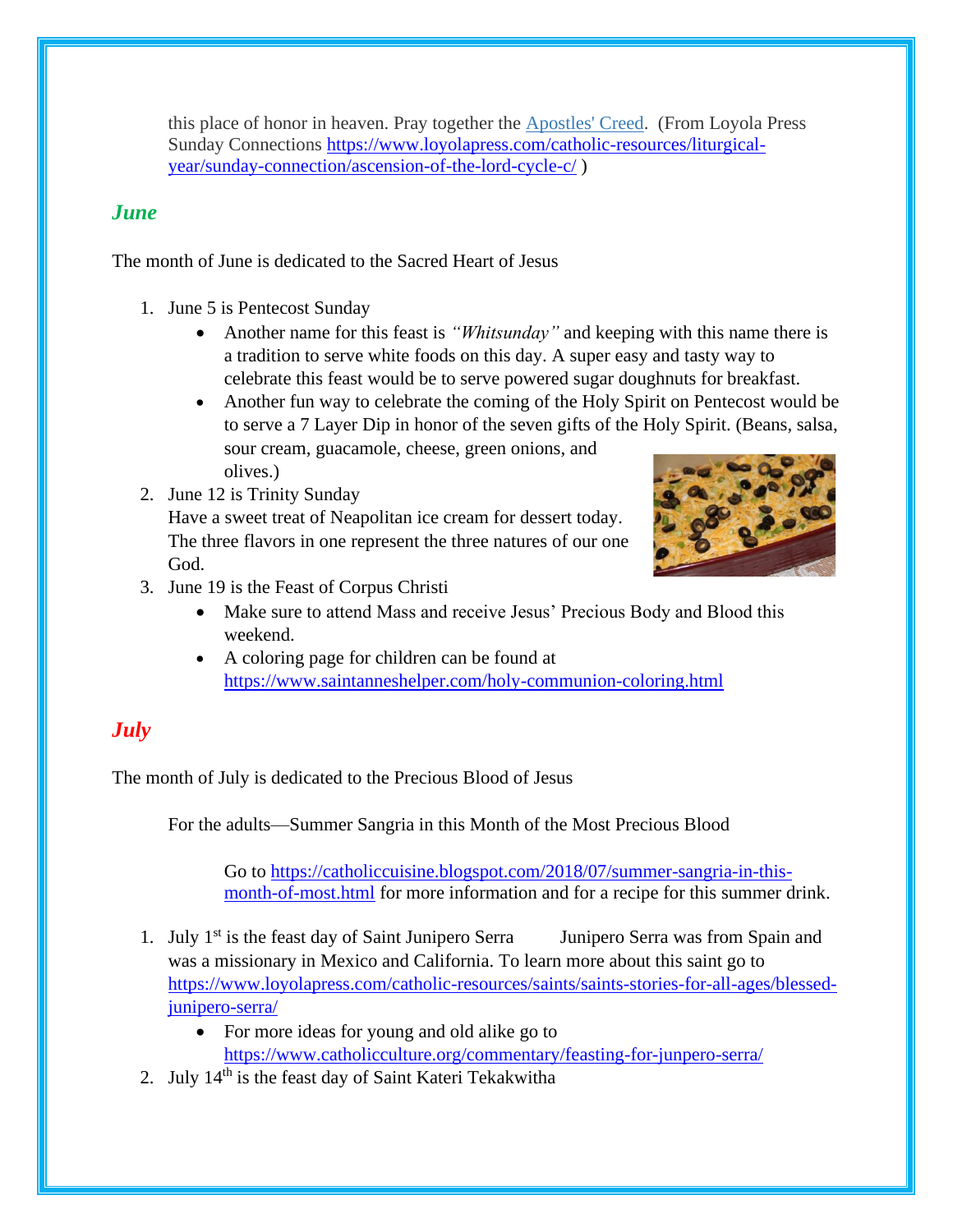this place of honor in heaven. Pray together the [Apostles' Creed.](https://www.loyolapress.com/catholic-resources/prayer/traditional-catholic-prayers/prayers-every-catholic-should-know/apostles-creed) (From Loyola Press Sunday Connections [https://www.loyolapress.com/catholic-resources/liturgical](https://www.loyolapress.com/catholic-resources/liturgical-year/sunday-connection/ascension-of-the-lord-cycle-c/)[year/sunday-connection/ascension-of-the-lord-cycle-c/](https://www.loyolapress.com/catholic-resources/liturgical-year/sunday-connection/ascension-of-the-lord-cycle-c/) )

## *June*

The month of June is dedicated to the Sacred Heart of Jesus

- 1. June 5 is Pentecost Sunday
	- Another name for this feast is *"Whitsunday"* and keeping with this name there is a tradition to serve white foods on this day. A super easy and tasty way to celebrate this feast would be to serve powered sugar doughnuts for breakfast.
	- Another fun way to celebrate the coming of the Holy Spirit on Pentecost would be to serve a 7 Layer Dip in honor of the seven gifts of the Holy Spirit. (Beans, salsa, sour cream, guacamole, cheese, green onions, and olives.)
- 2. June 12 is Trinity Sunday

Have a sweet treat of Neapolitan ice cream for dessert today. The three flavors in one represent the three natures of our one God.



- 3. June 19 is the Feast of Corpus Christi
	- Make sure to attend Mass and receive Jesus' Precious Body and Blood this weekend.
	- A coloring page for children can be found at <https://www.saintanneshelper.com/holy-communion-coloring.html>

# *July*

The month of July is dedicated to the Precious Blood of Jesus

For the adults—Summer Sangria in this Month of the Most Precious Blood

Go to [https://catholiccuisine.blogspot.com/2018/07/summer-sangria-in-this](https://catholiccuisine.blogspot.com/2018/07/summer-sangria-in-this-month-of-most.html)[month-of-most.html](https://catholiccuisine.blogspot.com/2018/07/summer-sangria-in-this-month-of-most.html) for more information and for a recipe for this summer drink.

- 1. July  $1^{st}$  is the feast day of Saint Junipero Serra  $\blacksquare$  Junipero Serra was from Spain and was a missionary in Mexico and California. To learn more about this saint go to [https://www.loyolapress.com/catholic-resources/saints/saints-stories-for-all-ages/blessed](https://www.loyolapress.com/catholic-resources/saints/saints-stories-for-all-ages/blessed-junipero-serra/)[junipero-serra/](https://www.loyolapress.com/catholic-resources/saints/saints-stories-for-all-ages/blessed-junipero-serra/)
	- For more ideas for young and old alike go to <https://www.catholicculture.org/commentary/feasting-for-junpero-serra/>
- 2. July  $14<sup>th</sup>$  is the feast day of Saint Kateri Tekakwitha